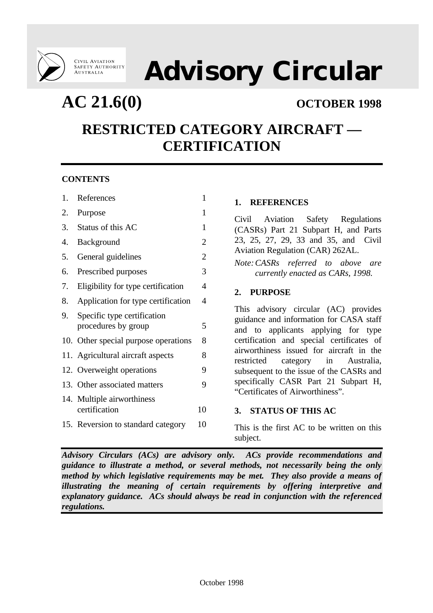

# **Advisory Circular**

## **AC 21.6(0) OCTOBER 1998**

### **RESTRICTED CATEGORY AIRCRAFT — CERTIFICATION**

#### **CONTENTS**

| 1. | References                                         | 1              |
|----|----------------------------------------------------|----------------|
| 2. | Purpose                                            | 1              |
| 3. | Status of this AC                                  | 1              |
| 4. | Background                                         | 2              |
| 5. | General guidelines                                 | $\overline{2}$ |
| 6. | Prescribed purposes                                | 3              |
| 7. | Eligibility for type certification                 | 4              |
| 8. | Application for type certification                 | 4              |
| 9. | Specific type certification<br>procedures by group | 5              |
|    | 10. Other special purpose operations               | 8              |
|    | 11. Agricultural aircraft aspects                  | 8              |
|    | 12. Overweight operations                          | 9              |
|    | 13. Other associated matters                       | 9              |
|    | 14. Multiple airworthiness<br>certification        | 10             |
|    | 15. Reversion to standard category                 | 10             |
|    |                                                    |                |

#### **1. REFERENCES**

Civil Aviation Safety Regulations (CASRs) Part 21 Subpart H, and Parts 23, 25, 27, 29, 33 and 35, and Civil Aviation Regulation (CAR) 262AL.

*Note:CASRs referred to above are currently enacted as CARs, 1998.*

#### **2. PURPOSE**

This advisory circular (AC) provides guidance and information for CASA staff and to applicants applying for type certification and special certificates of airworthiness issued for aircraft in the restricted category in Australia, subsequent to the issue of the CASRs and specifically CASR Part 21 Subpart H, "Certificates of Airworthiness".

#### **3. STATUS OF THIS AC**

This is the first AC to be written on this subject.

*Advisory Circulars (ACs) are advisory only. ACs provide recommendations and guidance to illustrate a method, or several methods, not necessarily being the only method by which legislative requirements may be met. They also provide a means of illustrating the meaning of certain requirements by offering interpretive and explanatory guidance. ACs should always be read in conjunction with the referenced regulations.*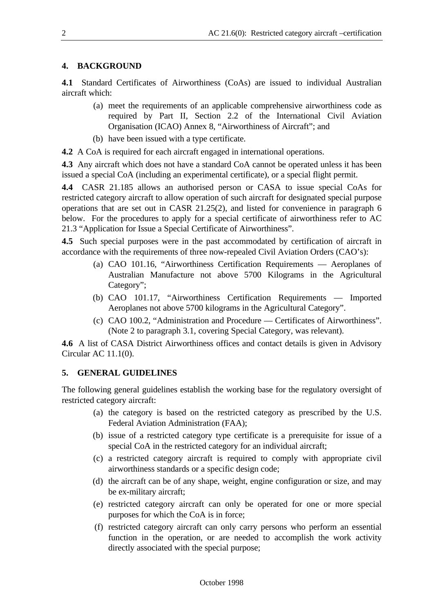#### **4. BACKGROUND**

**4.1** Standard Certificates of Airworthiness (CoAs) are issued to individual Australian aircraft which:

- (a) meet the requirements of an applicable comprehensive airworthiness code as required by Part II, Section 2.2 of the International Civil Aviation Organisation (ICAO) Annex 8, "Airworthiness of Aircraft"; and
- (b) have been issued with a type certificate.
- **4.2** A CoA is required for each aircraft engaged in international operations.

**4.3** Any aircraft which does not have a standard CoA cannot be operated unless it has been issued a special CoA (including an experimental certificate), or a special flight permit.

**4.4** CASR 21.185 allows an authorised person or CASA to issue special CoAs for restricted category aircraft to allow operation of such aircraft for designated special purpose operations that are set out in CASR 21.25(2), and listed for convenience in paragraph 6 below. For the procedures to apply for a special certificate of airworthiness refer to AC 21.3 "Application for Issue a Special Certificate of Airworthiness".

**4.5** Such special purposes were in the past accommodated by certification of aircraft in accordance with the requirements of three now-repealed Civil Aviation Orders (CAO's):

- (a) CAO 101.16, "Airworthiness Certification Requirements Aeroplanes of Australian Manufacture not above 5700 Kilograms in the Agricultural Category";
- (b) CAO 101.17, "Airworthiness Certification Requirements Imported Aeroplanes not above 5700 kilograms in the Agricultural Category".
- (c) CAO 100.2, "Administration and Procedure Certificates of Airworthiness". (Note 2 to paragraph 3.1, covering Special Category, was relevant).

**4.6** A list of CASA District Airworthiness offices and contact details is given in Advisory Circular AC 11.1(0).

#### **5. GENERAL GUIDELINES**

The following general guidelines establish the working base for the regulatory oversight of restricted category aircraft:

- (a) the category is based on the restricted category as prescribed by the U.S. Federal Aviation Administration (FAA);
- (b) issue of a restricted category type certificate is a prerequisite for issue of a special CoA in the restricted category for an individual aircraft;
- (c) a restricted category aircraft is required to comply with appropriate civil airworthiness standards or a specific design code;
- (d) the aircraft can be of any shape, weight, engine configuration or size, and may be ex-military aircraft;
- (e) restricted category aircraft can only be operated for one or more special purposes for which the CoA is in force;
- (f) restricted category aircraft can only carry persons who perform an essential function in the operation, or are needed to accomplish the work activity directly associated with the special purpose;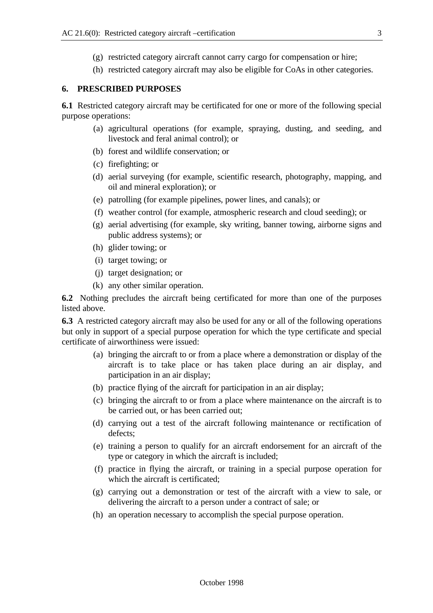- (g) restricted category aircraft cannot carry cargo for compensation or hire;
- (h) restricted category aircraft may also be eligible for CoAs in other categories.

#### **6. PRESCRIBED PURPOSES**

**6.1** Restricted category aircraft may be certificated for one or more of the following special purpose operations:

- (a) agricultural operations (for example, spraying, dusting, and seeding, and livestock and feral animal control); or
- (b) forest and wildlife conservation; or
- (c) firefighting; or
- (d) aerial surveying (for example, scientific research, photography, mapping, and oil and mineral exploration); or
- (e) patrolling (for example pipelines, power lines, and canals); or
- (f) weather control (for example, atmospheric research and cloud seeding); or
- (g) aerial advertising (for example, sky writing, banner towing, airborne signs and public address systems); or
- (h) glider towing; or
- (i) target towing; or
- (j) target designation; or
- (k) any other similar operation.

**6.2** Nothing precludes the aircraft being certificated for more than one of the purposes listed above.

**6.3** A restricted category aircraft may also be used for any or all of the following operations but only in support of a special purpose operation for which the type certificate and special certificate of airworthiness were issued:

- (a) bringing the aircraft to or from a place where a demonstration or display of the aircraft is to take place or has taken place during an air display, and participation in an air display;
- (b) practice flying of the aircraft for participation in an air display;
- (c) bringing the aircraft to or from a place where maintenance on the aircraft is to be carried out, or has been carried out;
- (d) carrying out a test of the aircraft following maintenance or rectification of defects;
- (e) training a person to qualify for an aircraft endorsement for an aircraft of the type or category in which the aircraft is included;
- (f) practice in flying the aircraft, or training in a special purpose operation for which the aircraft is certificated;
- (g) carrying out a demonstration or test of the aircraft with a view to sale, or delivering the aircraft to a person under a contract of sale; or
- (h) an operation necessary to accomplish the special purpose operation.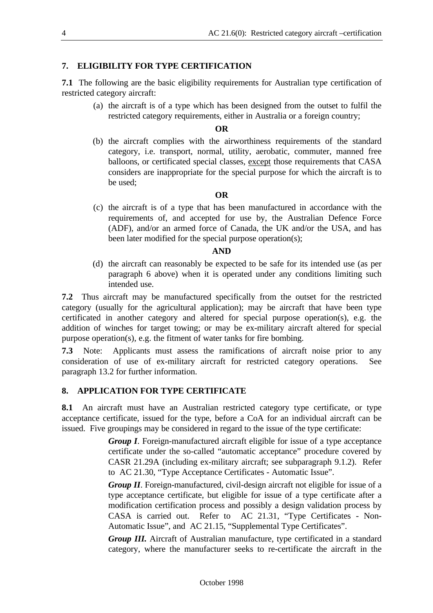#### **7. ELIGIBILITY FOR TYPE CERTIFICATION**

**7.1** The following are the basic eligibility requirements for Australian type certification of restricted category aircraft:

(a) the aircraft is of a type which has been designed from the outset to fulfil the restricted category requirements, either in Australia or a foreign country;

#### **OR**

(b) the aircraft complies with the airworthiness requirements of the standard category, i.e. transport, normal, utility, aerobatic, commuter, manned free balloons, or certificated special classes, except those requirements that CASA considers are inappropriate for the special purpose for which the aircraft is to be used;

#### **OR**

(c) the aircraft is of a type that has been manufactured in accordance with the requirements of, and accepted for use by, the Australian Defence Force (ADF), and/or an armed force of Canada, the UK and/or the USA, and has been later modified for the special purpose operation(s);

#### **AND**

(d) the aircraft can reasonably be expected to be safe for its intended use (as per paragraph 6 above) when it is operated under any conditions limiting such intended use.

**7.2** Thus aircraft may be manufactured specifically from the outset for the restricted category (usually for the agricultural application); may be aircraft that have been type certificated in another category and altered for special purpose operation(s), e.g. the addition of winches for target towing; or may be ex-military aircraft altered for special purpose operation(s), e.g. the fitment of water tanks for fire bombing.

**7.3** Note: Applicants must assess the ramifications of aircraft noise prior to any consideration of use of ex-military aircraft for restricted category operations. See paragraph 13.2 for further information.

#### **8. APPLICATION FOR TYPE CERTIFICATE**

**8.1** An aircraft must have an Australian restricted category type certificate, or type acceptance certificate, issued for the type, before a CoA for an individual aircraft can be issued. Five groupings may be considered in regard to the issue of the type certificate:

> *Group I*. Foreign-manufactured aircraft eligible for issue of a type acceptance certificate under the so-called "automatic acceptance" procedure covered by CASR 21.29A (including ex-military aircraft; see subparagraph 9.1.2). Refer to AC 21.30, "Type Acceptance Certificates - Automatic Issue".

> *Group II*. Foreign-manufactured, civil-design aircraft not eligible for issue of a type acceptance certificate, but eligible for issue of a type certificate after a modification certification process and possibly a design validation process by CASA is carried out. Refer to AC 21.31, "Type Certificates - Non-Automatic Issue", and AC 21.15, "Supplemental Type Certificates".

> *Group III.* Aircraft of Australian manufacture, type certificated in a standard category, where the manufacturer seeks to re-certificate the aircraft in the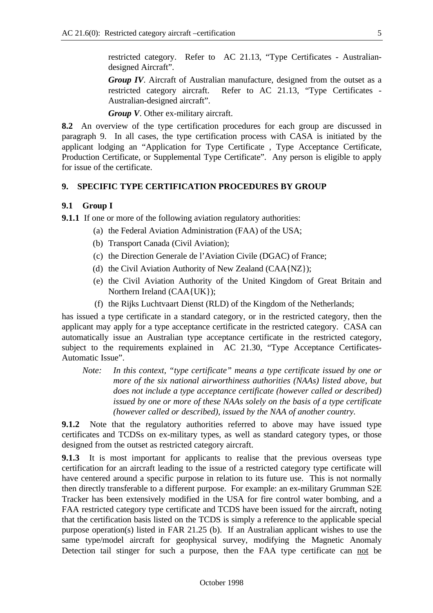restricted category. Refer to AC 21.13, "Type Certificates - Australiandesigned Aircraft".

*Group IV*. Aircraft of Australian manufacture, designed from the outset as a restricted category aircraft. Refer to AC 21.13, "Type Certificates - Australian-designed aircraft".

*Group V*. Other ex-military aircraft.

**8.2** An overview of the type certification procedures for each group are discussed in paragraph 9. In all cases, the type certification process with CASA is initiated by the applicant lodging an "Application for Type Certificate , Type Acceptance Certificate, Production Certificate, or Supplemental Type Certificate". Any person is eligible to apply for issue of the certificate.

#### **9. SPECIFIC TYPE CERTIFICATION PROCEDURES BY GROUP**

#### **9.1 Group I**

**9.1.1** If one or more of the following aviation regulatory authorities:

- (a) the Federal Aviation Administration (FAA) of the USA;
- (b) Transport Canada (Civil Aviation);
- (c) the Direction Generale de l'Aviation Civile (DGAC) of France;
- (d) the Civil Aviation Authority of New Zealand (CAA{NZ});
- (e) the Civil Aviation Authority of the United Kingdom of Great Britain and Northern Ireland (CAA{UK});
- (f) the Rijks Luchtvaart Dienst (RLD) of the Kingdom of the Netherlands;

has issued a type certificate in a standard category, or in the restricted category, then the applicant may apply for a type acceptance certificate in the restricted category. CASA can automatically issue an Australian type acceptance certificate in the restricted category, subject to the requirements explained in AC 21.30, "Type Acceptance Certificates-Automatic Issue".

*Note: In this context, "type certificate" means a type certificate issued by one or more of the six national airworthiness authorities (NAAs) listed above, but does not include a type acceptance certificate (however called or described) issued by one or more of these NAAs solely on the basis of a type certificate (however called or described), issued by the NAA of another country.*

**9.1.2** Note that the regulatory authorities referred to above may have issued type certificates and TCDSs on ex-military types, as well as standard category types, or those designed from the outset as restricted category aircraft.

**9.1.3** It is most important for applicants to realise that the previous overseas type certification for an aircraft leading to the issue of a restricted category type certificate will have centered around a specific purpose in relation to its future use. This is not normally then directly transferable to a different purpose. For example: an ex-military Grumman S2E Tracker has been extensively modified in the USA for fire control water bombing, and a FAA restricted category type certificate and TCDS have been issued for the aircraft, noting that the certification basis listed on the TCDS is simply a reference to the applicable special purpose operation(s) listed in FAR 21.25 (b). If an Australian applicant wishes to use the same type/model aircraft for geophysical survey, modifying the Magnetic Anomaly Detection tail stinger for such a purpose, then the FAA type certificate can not be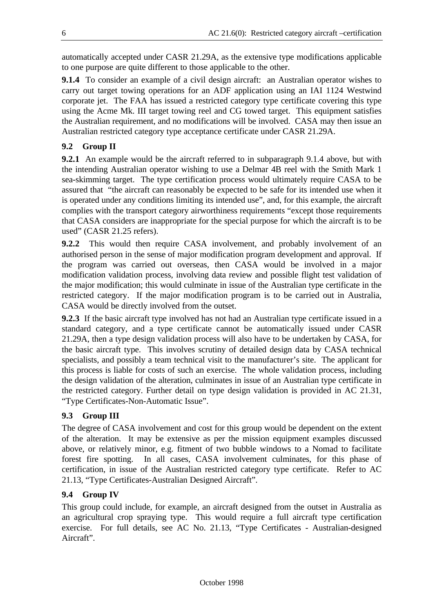automatically accepted under CASR 21.29A, as the extensive type modifications applicable to one purpose are quite different to those applicable to the other.

**9.1.4** To consider an example of a civil design aircraft: an Australian operator wishes to carry out target towing operations for an ADF application using an IAI 1124 Westwind corporate jet. The FAA has issued a restricted category type certificate covering this type using the Acme Mk. III target towing reel and CG towed target. This equipment satisfies the Australian requirement, and no modifications will be involved. CASA may then issue an Australian restricted category type acceptance certificate under CASR 21.29A.

### **9.2 Group II**

**9.2.1** An example would be the aircraft referred to in subparagraph 9.1.4 above, but with the intending Australian operator wishing to use a Delmar 4B reel with the Smith Mark 1 sea-skimming target. The type certification process would ultimately require CASA to be assured that "the aircraft can reasonably be expected to be safe for its intended use when it is operated under any conditions limiting its intended use", and, for this example, the aircraft complies with the transport category airworthiness requirements "except those requirements that CASA considers are inappropriate for the special purpose for which the aircraft is to be used" (CASR 21.25 refers).

**9.2.2** This would then require CASA involvement, and probably involvement of an authorised person in the sense of major modification program development and approval. If the program was carried out overseas, then CASA would be involved in a major modification validation process, involving data review and possible flight test validation of the major modification; this would culminate in issue of the Australian type certificate in the restricted category. If the major modification program is to be carried out in Australia, CASA would be directly involved from the outset.

**9.2.3** If the basic aircraft type involved has not had an Australian type certificate issued in a standard category, and a type certificate cannot be automatically issued under CASR 21.29A, then a type design validation process will also have to be undertaken by CASA, for the basic aircraft type. This involves scrutiny of detailed design data by CASA technical specialists, and possibly a team technical visit to the manufacturer's site. The applicant for this process is liable for costs of such an exercise. The whole validation process, including the design validation of the alteration, culminates in issue of an Australian type certificate in the restricted category. Further detail on type design validation is provided in AC 21.31, "Type Certificates-Non-Automatic Issue".

#### **9.3 Group III**

The degree of CASA involvement and cost for this group would be dependent on the extent of the alteration. It may be extensive as per the mission equipment examples discussed above, or relatively minor, e.g. fitment of two bubble windows to a Nomad to facilitate forest fire spotting. In all cases, CASA involvement culminates, for this phase of certification, in issue of the Australian restricted category type certificate. Refer to AC 21.13, "Type Certificates-Australian Designed Aircraft".

#### **9.4 Group IV**

This group could include, for example, an aircraft designed from the outset in Australia as an agricultural crop spraying type. This would require a full aircraft type certification exercise. For full details, see AC No. 21.13, "Type Certificates - Australian-designed Aircraft".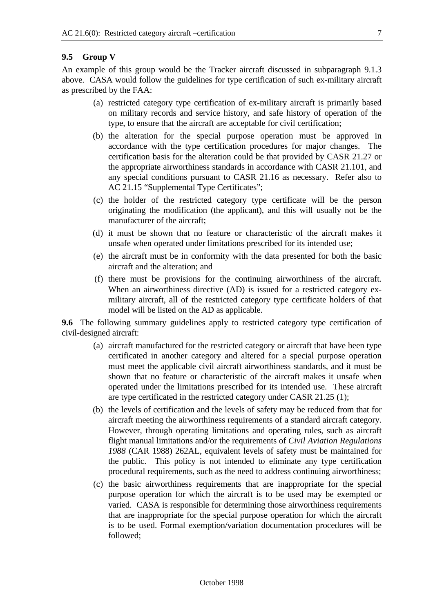#### **9.5 Group V**

An example of this group would be the Tracker aircraft discussed in subparagraph 9.1.3 above. CASA would follow the guidelines for type certification of such ex-military aircraft as prescribed by the FAA:

- (a) restricted category type certification of ex-military aircraft is primarily based on military records and service history, and safe history of operation of the type, to ensure that the aircraft are acceptable for civil certification;
- (b) the alteration for the special purpose operation must be approved in accordance with the type certification procedures for major changes. The certification basis for the alteration could be that provided by CASR 21.27 or the appropriate airworthiness standards in accordance with CASR 21.101, and any special conditions pursuant to CASR 21.16 as necessary. Refer also to AC 21.15 "Supplemental Type Certificates";
- (c) the holder of the restricted category type certificate will be the person originating the modification (the applicant), and this will usually not be the manufacturer of the aircraft;
- (d) it must be shown that no feature or characteristic of the aircraft makes it unsafe when operated under limitations prescribed for its intended use;
- (e) the aircraft must be in conformity with the data presented for both the basic aircraft and the alteration; and
- (f) there must be provisions for the continuing airworthiness of the aircraft. When an airworthiness directive (AD) is issued for a restricted category exmilitary aircraft, all of the restricted category type certificate holders of that model will be listed on the AD as applicable.

**9.6** The following summary guidelines apply to restricted category type certification of civil-designed aircraft:

- (a) aircraft manufactured for the restricted category or aircraft that have been type certificated in another category and altered for a special purpose operation must meet the applicable civil aircraft airworthiness standards, and it must be shown that no feature or characteristic of the aircraft makes it unsafe when operated under the limitations prescribed for its intended use. These aircraft are type certificated in the restricted category under CASR 21.25 (1);
- (b) the levels of certification and the levels of safety may be reduced from that for aircraft meeting the airworthiness requirements of a standard aircraft category. However, through operating limitations and operating rules, such as aircraft flight manual limitations and/or the requirements of *Civil Aviation Regulations 1988* (CAR 1988) 262AL, equivalent levels of safety must be maintained for the public. This policy is not intended to eliminate any type certification procedural requirements, such as the need to address continuing airworthiness;
- (c) the basic airworthiness requirements that are inappropriate for the special purpose operation for which the aircraft is to be used may be exempted or varied. CASA is responsible for determining those airworthiness requirements that are inappropriate for the special purpose operation for which the aircraft is to be used. Formal exemption/variation documentation procedures will be followed;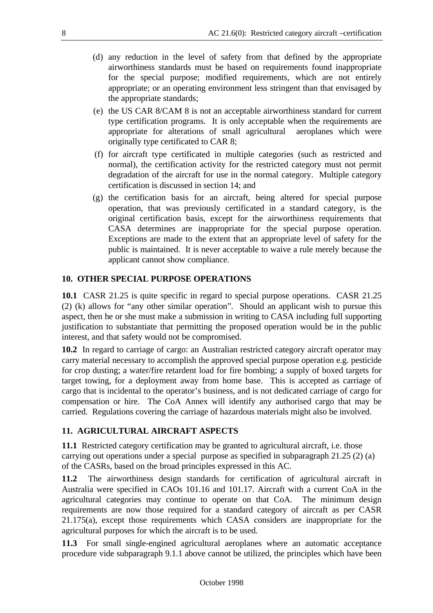- (d) any reduction in the level of safety from that defined by the appropriate airworthiness standards must be based on requirements found inappropriate for the special purpose; modified requirements, which are not entirely appropriate; or an operating environment less stringent than that envisaged by the appropriate standards;
- (e) the US CAR 8/CAM 8 is not an acceptable airworthiness standard for current type certification programs. It is only acceptable when the requirements are appropriate for alterations of small agricultural aeroplanes which were originally type certificated to CAR 8;
- (f) for aircraft type certificated in multiple categories (such as restricted and normal), the certification activity for the restricted category must not permit degradation of the aircraft for use in the normal category. Multiple category certification is discussed in section 14; and
- (g) the certification basis for an aircraft, being altered for special purpose operation, that was previously certificated in a standard category, is the original certification basis, except for the airworthiness requirements that CASA determines are inappropriate for the special purpose operation. Exceptions are made to the extent that an appropriate level of safety for the public is maintained. It is never acceptable to waive a rule merely because the applicant cannot show compliance.

#### **10. OTHER SPECIAL PURPOSE OPERATIONS**

**10.1** CASR 21.25 is quite specific in regard to special purpose operations. CASR 21.25 (2) (k) allows for "any other similar operation". Should an applicant wish to pursue this aspect, then he or she must make a submission in writing to CASA including full supporting justification to substantiate that permitting the proposed operation would be in the public interest, and that safety would not be compromised.

**10.2** In regard to carriage of cargo: an Australian restricted category aircraft operator may carry material necessary to accomplish the approved special purpose operation e.g. pesticide for crop dusting; a water/fire retardent load for fire bombing; a supply of boxed targets for target towing, for a deployment away from home base. This is accepted as carriage of cargo that is incidental to the operator's business, and is not dedicated carriage of cargo for compensation or hire. The CoA Annex will identify any authorised cargo that may be carried. Regulations covering the carriage of hazardous materials might also be involved.

#### **11. AGRICULTURAL AIRCRAFT ASPECTS**

**11.1** Restricted category certification may be granted to agricultural aircraft, i.e. those carrying out operations under a special purpose as specified in subparagraph 21.25 (2) (a) of the CASRs, based on the broad principles expressed in this AC.

**11.2** The airworthiness design standards for certification of agricultural aircraft in Australia were specified in CAOs 101.16 and 101.17. Aircraft with a current CoA in the agricultural categories may continue to operate on that CoA. The minimum design requirements are now those required for a standard category of aircraft as per CASR 21.175(a), except those requirements which CASA considers are inappropriate for the agricultural purposes for which the aircraft is to be used.

**11.3** For small single-engined agricultural aeroplanes where an automatic acceptance procedure vide subparagraph 9.1.1 above cannot be utilized, the principles which have been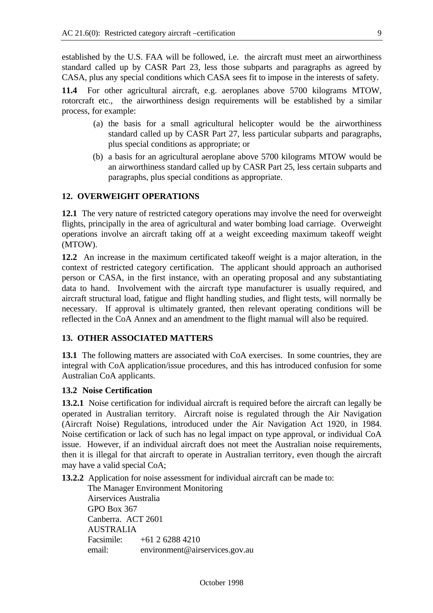established by the U.S. FAA will be followed, i.e. the aircraft must meet an airworthiness standard called up by CASR Part 23, less those subparts and paragraphs as agreed by CASA, plus any special conditions which CASA sees fit to impose in the interests of safety.

**11.4** For other agricultural aircraft, e.g. aeroplanes above 5700 kilograms MTOW, rotorcraft etc., the airworthiness design requirements will be established by a similar process, for example:

- (a) the basis for a small agricultural helicopter would be the airworthiness standard called up by CASR Part 27, less particular subparts and paragraphs, plus special conditions as appropriate; or
- (b) a basis for an agricultural aeroplane above 5700 kilograms MTOW would be an airworthiness standard called up by CASR Part 25, less certain subparts and paragraphs, plus special conditions as appropriate.

#### **12. OVERWEIGHT OPERATIONS**

**12.1** The very nature of restricted category operations may involve the need for overweight flights, principally in the area of agricultural and water bombing load carriage. Overweight operations involve an aircraft taking off at a weight exceeding maximum takeoff weight (MTOW).

**12.2** An increase in the maximum certificated takeoff weight is a major alteration, in the context of restricted category certification. The applicant should approach an authorised person or CASA, in the first instance, with an operating proposal and any substantiating data to hand. Involvement with the aircraft type manufacturer is usually required, and aircraft structural load, fatigue and flight handling studies, and flight tests, will normally be necessary. If approval is ultimately granted, then relevant operating conditions will be reflected in the CoA Annex and an amendment to the flight manual will also be required.

#### **13. OTHER ASSOCIATED MATTERS**

**13.1** The following matters are associated with CoA exercises. In some countries, they are integral with CoA application/issue procedures, and this has introduced confusion for some Australian CoA applicants.

#### **13.2 Noise Certification**

**13.2.1** Noise certification for individual aircraft is required before the aircraft can legally be operated in Australian territory. Aircraft noise is regulated through the Air Navigation (Aircraft Noise) Regulations, introduced under the Air Navigation Act 1920, in 1984. Noise certification or lack of such has no legal impact on type approval, or individual CoA issue. However, if an individual aircraft does not meet the Australian noise requirements, then it is illegal for that aircraft to operate in Australian territory, even though the aircraft may have a valid special CoA;

**13.2.2** Application for noise assessment for individual aircraft can be made to:

The Manager Environment Monitoring Airservices Australia GPO Box 367 Canberra. ACT 2601 AUSTRALIA Facsimile: +61 2 6288 4210 email: environment@airservices.gov.au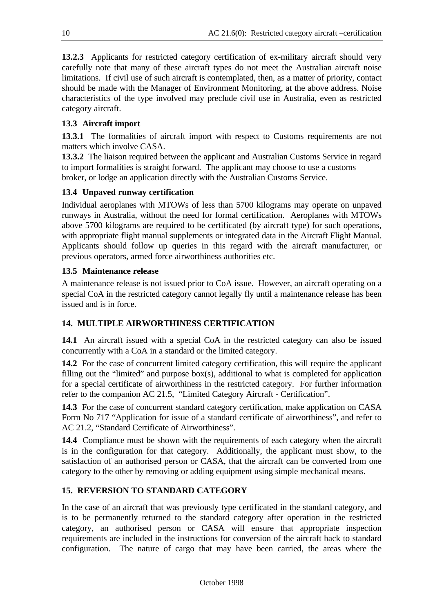**13.2.3** Applicants for restricted category certification of ex-military aircraft should very carefully note that many of these aircraft types do not meet the Australian aircraft noise limitations. If civil use of such aircraft is contemplated, then, as a matter of priority, contact should be made with the Manager of Environment Monitoring, at the above address. Noise characteristics of the type involved may preclude civil use in Australia, even as restricted category aircraft.

#### **13.3 Aircraft import**

**13.3.1** The formalities of aircraft import with respect to Customs requirements are not matters which involve CASA.

**13.3.2** The liaison required between the applicant and Australian Customs Service in regard to import formalities is straight forward. The applicant may choose to use a customs broker, or lodge an application directly with the Australian Customs Service.

#### **13.4 Unpaved runway certification**

Individual aeroplanes with MTOWs of less than 5700 kilograms may operate on unpaved runways in Australia, without the need for formal certification. Aeroplanes with MTOWs above 5700 kilograms are required to be certificated (by aircraft type) for such operations, with appropriate flight manual supplements or integrated data in the Aircraft Flight Manual. Applicants should follow up queries in this regard with the aircraft manufacturer, or previous operators, armed force airworthiness authorities etc.

#### **13.5 Maintenance release**

A maintenance release is not issued prior to CoA issue. However, an aircraft operating on a special CoA in the restricted category cannot legally fly until a maintenance release has been issued and is in force.

#### **14. MULTIPLE AIRWORTHINESS CERTIFICATION**

**14.1** An aircraft issued with a special CoA in the restricted category can also be issued concurrently with a CoA in a standard or the limited category.

**14.2** For the case of concurrent limited category certification, this will require the applicant filling out the "limited" and purpose box(s), additional to what is completed for application for a special certificate of airworthiness in the restricted category. For further information refer to the companion AC 21.5, "Limited Category Aircraft - Certification".

**14.3** For the case of concurrent standard category certification, make application on CASA Form No 717 "Application for issue of a standard certificate of airworthiness", and refer to AC 21.2, "Standard Certificate of Airworthiness".

**14.4** Compliance must be shown with the requirements of each category when the aircraft is in the configuration for that category. Additionally, the applicant must show, to the satisfaction of an authorised person or CASA, that the aircraft can be converted from one category to the other by removing or adding equipment using simple mechanical means.

#### **15. REVERSION TO STANDARD CATEGORY**

In the case of an aircraft that was previously type certificated in the standard category, and is to be permanently returned to the standard category after operation in the restricted category, an authorised person or CASA will ensure that appropriate inspection requirements are included in the instructions for conversion of the aircraft back to standard configuration. The nature of cargo that may have been carried, the areas where the